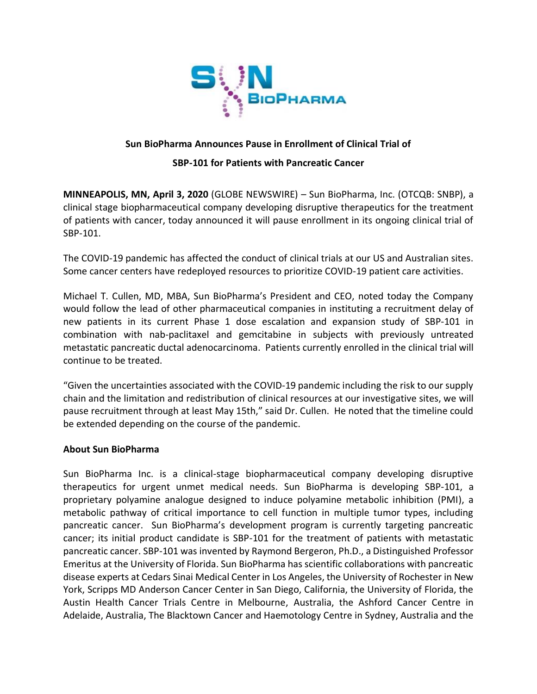

## **Sun BioPharma Announces Pause in Enrollment of Clinical Trial of**

## **SBP-101 for Patients with Pancreatic Cancer**

**MINNEAPOLIS, MN, April 3, 2020** (GLOBE NEWSWIRE) – Sun BioPharma, Inc. (OTCQB: SNBP), a clinical stage biopharmaceutical company developing disruptive therapeutics for the treatment of patients with cancer, today announced it will pause enrollment in its ongoing clinical trial of SBP-101.

The COVID-19 pandemic has affected the conduct of clinical trials at our US and Australian sites. Some cancer centers have redeployed resources to prioritize COVID-19 patient care activities.

Michael T. Cullen, MD, MBA, Sun BioPharma's President and CEO, noted today the Company would follow the lead of other pharmaceutical companies in instituting a recruitment delay of new patients in its current Phase 1 dose escalation and expansion study of SBP-101 in combination with nab-paclitaxel and gemcitabine in subjects with previously untreated metastatic pancreatic ductal adenocarcinoma. Patients currently enrolled in the clinical trial will continue to be treated.

"Given the uncertainties associated with the COVID-19 pandemic including the risk to our supply chain and the limitation and redistribution of clinical resources at our investigative sites, we will pause recruitment through at least May 15th," said Dr. Cullen. He noted that the timeline could be extended depending on the course of the pandemic.

## **About Sun BioPharma**

Sun BioPharma Inc. is a clinical-stage biopharmaceutical company developing disruptive therapeutics for urgent unmet medical needs. Sun BioPharma is developing SBP-101, a proprietary polyamine analogue designed to induce polyamine metabolic inhibition (PMI), a metabolic pathway of critical importance to cell function in multiple tumor types, including pancreatic cancer. Sun BioPharma's development program is currently targeting pancreatic cancer; its initial product candidate is SBP-101 for the treatment of patients with metastatic pancreatic cancer. SBP-101 was invented by Raymond Bergeron, Ph.D., a Distinguished Professor Emeritus at the University of Florida. Sun BioPharma has scientific collaborations with pancreatic disease experts at Cedars Sinai Medical Center in Los Angeles, the University of Rochester in New York, Scripps MD Anderson Cancer Center in San Diego, California, the University of Florida, the Austin Health Cancer Trials Centre in Melbourne, Australia, the Ashford Cancer Centre in Adelaide, Australia, The Blacktown Cancer and Haemotology Centre in Sydney, Australia and the